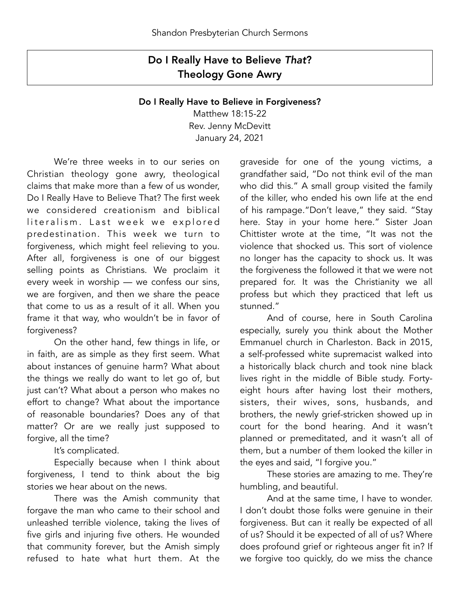## Do I Really Have to Believe *That*? Theology Gone Awry

## Do I Really Have to Believe in Forgiveness?

Matthew 18:15-22 Rev. Jenny McDevitt January 24, 2021

 We're three weeks in to our series on Christian theology gone awry, theological claims that make more than a few of us wonder, Do I Really Have to Believe That? The first week we considered creationism and biblical literalism. Last week we explored predestination. This week we turn to forgiveness, which might feel relieving to you. After all, forgiveness is one of our biggest selling points as Christians. We proclaim it every week in worship — we confess our sins, we are forgiven, and then we share the peace that come to us as a result of it all. When you frame it that way, who wouldn't be in favor of forgiveness?

 On the other hand, few things in life, or in faith, are as simple as they first seem. What about instances of genuine harm? What about the things we really do want to let go of, but just can't? What about a person who makes no effort to change? What about the importance of reasonable boundaries? Does any of that matter? Or are we really just supposed to forgive, all the time?

It's complicated.

 Especially because when I think about forgiveness, I tend to think about the big stories we hear about on the news.

 There was the Amish community that forgave the man who came to their school and unleashed terrible violence, taking the lives of five girls and injuring five others. He wounded that community forever, but the Amish simply refused to hate what hurt them. At the

graveside for one of the young victims, a grandfather said, "Do not think evil of the man who did this." A small group visited the family of the killer, who ended his own life at the end of his rampage."Don't leave," they said. "Stay here. Stay in your home here." Sister Joan Chittister wrote at the time, "It was not the violence that shocked us. This sort of violence no longer has the capacity to shock us. It was the forgiveness the followed it that we were not prepared for. It was the Christianity we all profess but which they practiced that left us stunned."

 And of course, here in South Carolina especially, surely you think about the Mother Emmanuel church in Charleston. Back in 2015, a self-professed white supremacist walked into a historically black church and took nine black lives right in the middle of Bible study. Fortyeight hours after having lost their mothers, sisters, their wives, sons, husbands, and brothers, the newly grief-stricken showed up in court for the bond hearing. And it wasn't planned or premeditated, and it wasn't all of them, but a number of them looked the killer in the eyes and said, "I forgive you."

 These stories are amazing to me. They're humbling, and beautiful.

 And at the same time, I have to wonder. I don't doubt those folks were genuine in their forgiveness. But can it really be expected of all of us? Should it be expected of all of us? Where does profound grief or righteous anger fit in? If we forgive too quickly, do we miss the chance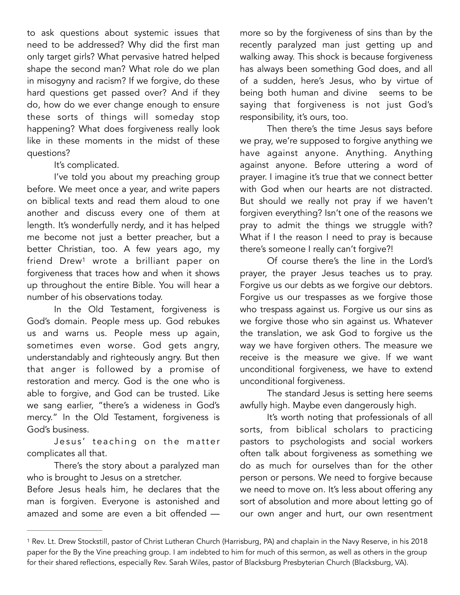to ask questions about systemic issues that need to be addressed? Why did the first man only target girls? What pervasive hatred helped shape the second man? What role do we plan in misogyny and racism? If we forgive, do these hard questions get passed over? And if they do, how do we ever change enough to ensure these sorts of things will someday stop happening? What does forgiveness really look like in these moments in the midst of these questions?

It's complicated.

 I've told you about my preaching group before. We meet once a year, and write papers on biblical texts and read them aloud to one another and discuss every one of them at length. It's wonderfully nerdy, and it has helped me become not just a better preacher, but a better Christian, too. A few years ago, my friend Drew<sup>[1](#page-1-0)</sup> wrote a brilliant paper on forgiveness that traces how and when it shows up throughout the entire Bible. You will hear a number of his observations today.

<span id="page-1-1"></span> In the Old Testament, forgiveness is God's domain. People mess up. God rebukes us and warns us. People mess up again, sometimes even worse. God gets angry, understandably and righteously angry. But then that anger is followed by a promise of restoration and mercy. God is the one who is able to forgive, and God can be trusted. Like we sang earlier, "there's a wideness in God's mercy." In the Old Testament, forgiveness is God's business.

Jesus' teaching on the matter complicates all that.

 There's the story about a paralyzed man who is brought to Jesus on a stretcher.

Before Jesus heals him, he declares that the man is forgiven. Everyone is astonished and amazed and some are even a bit offended — more so by the forgiveness of sins than by the recently paralyzed man just getting up and walking away. This shock is because forgiveness has always been something God does, and all of a sudden, here's Jesus, who by virtue of being both human and divine seems to be saying that forgiveness is not just God's responsibility, it's ours, too.

 Then there's the time Jesus says before we pray, we're supposed to forgive anything we have against anyone. Anything. Anything against anyone. Before uttering a word of prayer. I imagine it's true that we connect better with God when our hearts are not distracted. But should we really not pray if we haven't forgiven everything? Isn't one of the reasons we pray to admit the things we struggle with? What if I the reason I need to pray is because there's someone I really can't forgive?!

 Of course there's the line in the Lord's prayer, the prayer Jesus teaches us to pray. Forgive us our debts as we forgive our debtors. Forgive us our trespasses as we forgive those who trespass against us. Forgive us our sins as we forgive those who sin against us. Whatever the translation, we ask God to forgive us the way we have forgiven others. The measure we receive is the measure we give. If we want unconditional forgiveness, we have to extend unconditional forgiveness.

 The standard Jesus is setting here seems awfully high. Maybe even dangerously high.

 It's worth noting that professionals of all sorts, from biblical scholars to practicing pastors to psychologists and social workers often talk about forgiveness as something we do as much for ourselves than for the other person or persons. We need to forgive because we need to move on. It's less about offering any sort of absolution and more about letting go of our own anger and hurt, our own resentment

<span id="page-1-0"></span><sup>&</sup>lt;sup>1</sup>Rev. Lt. Drew Stockstill, pastor of Christ Lutheran Church (Harrisburg, PA) and chaplain in the Navy Reserve, in his 20[1](#page-1-1)8 paper for the By the Vine preaching group. I am indebted to him for much of this sermon, as well as others in the group for their shared reflections, especially Rev. Sarah Wiles, pastor of Blacksburg Presbyterian Church (Blacksburg, VA).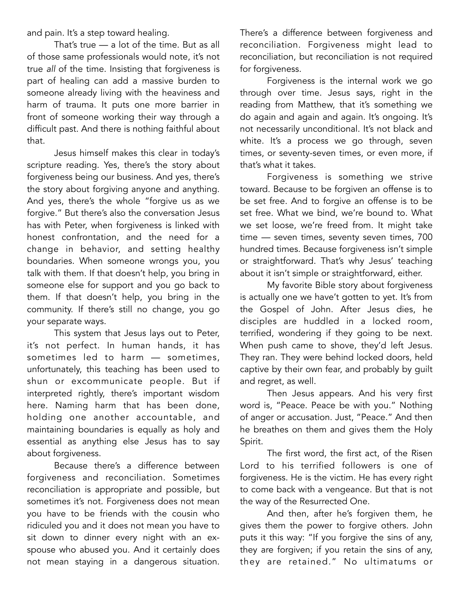and pain. It's a step toward healing.

 That's true — a lot of the time. But as all of those same professionals would note, it's not true *all* of the time. Insisting that forgiveness is part of healing can add a massive burden to someone already living with the heaviness and harm of trauma. It puts one more barrier in front of someone working their way through a difficult past. And there is nothing faithful about that.

 Jesus himself makes this clear in today's scripture reading. Yes, there's the story about forgiveness being our business. And yes, there's the story about forgiving anyone and anything. And yes, there's the whole "forgive us as we forgive." But there's also the conversation Jesus has with Peter, when forgiveness is linked with honest confrontation, and the need for a change in behavior, and setting healthy boundaries. When someone wrongs you, you talk with them. If that doesn't help, you bring in someone else for support and you go back to them. If that doesn't help, you bring in the community. If there's still no change, you go your separate ways.

 This system that Jesus lays out to Peter, it's not perfect. In human hands, it has sometimes led to harm — sometimes, unfortunately, this teaching has been used to shun or excommunicate people. But if interpreted rightly, there's important wisdom here. Naming harm that has been done, holding one another accountable, and maintaining boundaries is equally as holy and essential as anything else Jesus has to say about forgiveness.

 Because there's a difference between forgiveness and reconciliation. Sometimes reconciliation is appropriate and possible, but sometimes it's not. Forgiveness does not mean you have to be friends with the cousin who ridiculed you and it does not mean you have to sit down to dinner every night with an exspouse who abused you. And it certainly does not mean staying in a dangerous situation. There's a difference between forgiveness and reconciliation. Forgiveness might lead to reconciliation, but reconciliation is not required for forgiveness.

 Forgiveness is the internal work we go through over time. Jesus says, right in the reading from Matthew, that it's something we do again and again and again. It's ongoing. It's not necessarily unconditional. It's not black and white. It's a process we go through, seven times, or seventy-seven times, or even more, if that's what it takes.

 Forgiveness is something we strive toward. Because to be forgiven an offense is to be set free. And to forgive an offense is to be set free. What we bind, we're bound to. What we set loose, we're freed from. It might take time — seven times, seventy seven times, 700 hundred times. Because forgiveness isn't simple or straightforward. That's why Jesus' teaching about it isn't simple or straightforward, either.

 My favorite Bible story about forgiveness is actually one we have't gotten to yet. It's from the Gospel of John. After Jesus dies, he disciples are huddled in a locked room, terrified, wondering if they going to be next. When push came to shove, they'd left Jesus. They ran. They were behind locked doors, held captive by their own fear, and probably by guilt and regret, as well.

 Then Jesus appears. And his very first word is, "Peace. Peace be with you." Nothing of anger or accusation. Just, "Peace." And then he breathes on them and gives them the Holy Spirit.

 The first word, the first act, of the Risen Lord to his terrified followers is one of forgiveness. He is the victim. He has every right to come back with a vengeance. But that is not the way of the Resurrected One.

 And then, after he's forgiven them, he gives them the power to forgive others. John puts it this way: "If you forgive the sins of any, they are forgiven; if you retain the sins of any, they are retained." No ultimatums or